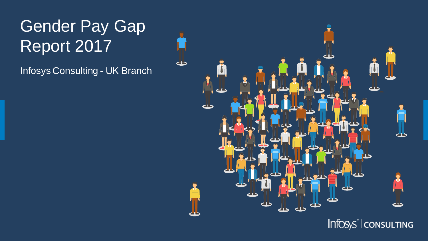# Gender Pay Gap Report 2017

Infosys Consulting - UK Branch

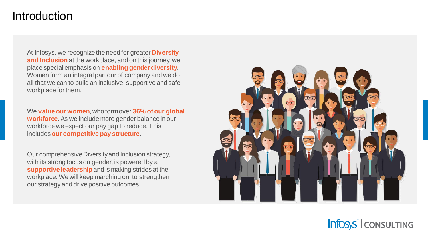### **Introduction**

At Infosys, we recognize the need for greater **Diversity and Inclusion** at the workplace, and on this journey, we place special emphasis on **enabling gender diversity**. Women form an integral part our of company and we do all that we can to build an inclusive, supportive and safe workplace for them.

We **value our women**, who formover **36% of our global workforce**. As we include more gender balance in our workforce we expect our pay gap to reduce. This includes **our competitive pay structure**.

Our comprehensive Diversity and Inclusion strategy, with its strong focus on gender, is powered by a **supportiveleadership** and is making strides at the workplace. We will keep marching on, to strengthen our strategy and drive positive outcomes.



Infosys<sup>®</sup> | CONSULTING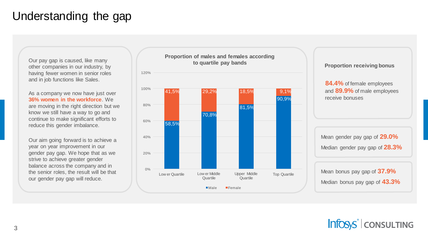# Understanding the gap

Our pay gap is caused, like many other companies in our industry, by having fewer women in senior roles and in job functions like Sales.

As a company we now have just over **36% women in the workforce**. We are moving in the right direction but we know we still have a way to go and continue to make significant efforts to reduce this gender imbalance.

Our aim going forward is to achieve a year on year improvement in our gender pay gap. We hope that as we strive to achieve greater gender balance across the company and in the senior roles, the result will be that our gender pay gap will reduce.

#### **Proportion of males and females according to quartile pay bands**

120%



#### **Proportion receiving bonus**

**84.4%** of female employees and **89.9%** of male employees receive bonuses

Mean gender pay gap of **29.0%** Median gender pay gap of **28.3%**

Mean bonus pay gap of **37.9%** Median bonus pay gap of **43.3%**

Infosys<sup>®</sup> | CONSULTING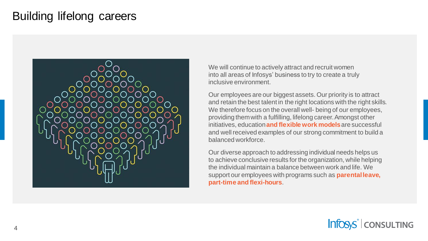## Building lifelong careers



We will continue to actively attract and recruit women into all areas of Infosys' business to try to create a truly inclusive environment.

Our employees are our biggest assets. Our priority is to attract and retain the best talent in the right locations with the right skills. We therefore focus on the overall well- being of our employees, providing themwith a fulfilling, lifelong career.Amongst other initiatives, education**and flexible work models**are successful and well received examples of our strong commitment to build a balanced workforce.

Our diverse approach to addressing individual needs helps us to achieve conclusive results forthe organization, while helping the individual maintain a balance between work and life. We support our employees with programs such as **parentalleave, part-time and flexi-hours**.